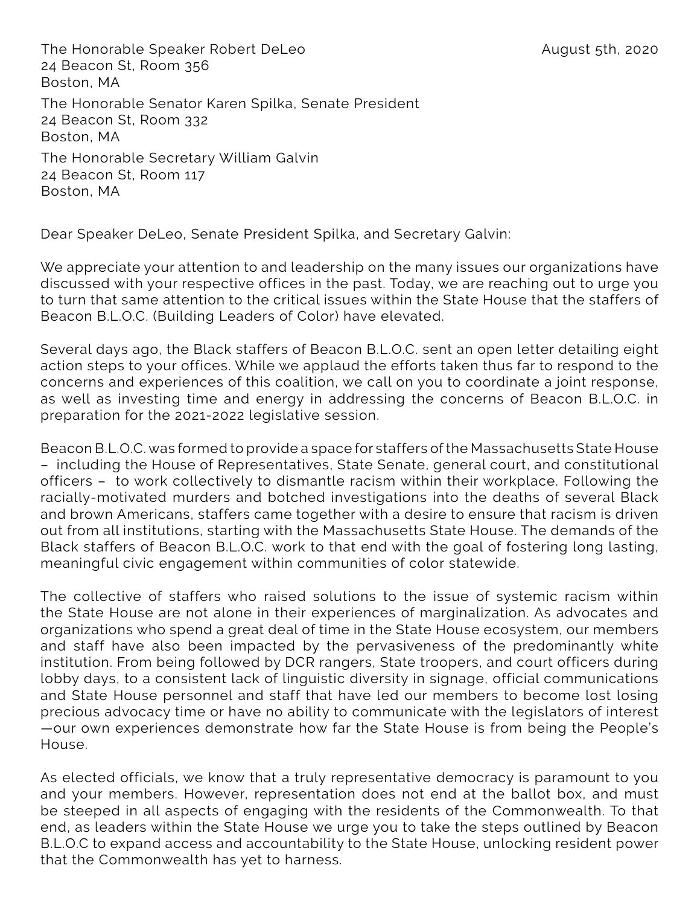The Honorable Speaker Robert DeLeo August 5th, 2020 24 Beacon St, Room 356 Boston, MA The Honorable Senator Karen Spilka, Senate President 24 Beacon St, Room 332 Boston, MA The Honorable Secretary William Galvin 24 Beacon St, Room 117 Boston, MA

Dear Speaker DeLeo, Senate President Spilka, and Secretary Galvin:

We appreciate your attention to and leadership on the many issues our organizations have discussed with your respective offices in the past. Today, we are reaching out to urge you to turn that same attention to the critical issues within the State House that the staffers of Beacon B.L.O.C. (Building Leaders of Color) have elevated.

Several days ago, the Black staffers of Beacon B.L.O.C. sent an open letter detailing eight action steps to your offices. While we applaud the efforts taken thus far to respond to the concerns and experiences of this coalition, we call on you to coordinate a joint response, as well as investing time and energy in addressing the concerns of Beacon B.L.O.C. in preparation for the 2021-2022 legislative session.

Beacon B.L.O.C. was formed to provide a space for staffers of the Massachusetts State House – including the House of Representatives, State Senate, general court, and constitutional officers – to work collectively to dismantle racism within their workplace. Following the racially-motivated murders and botched investigations into the deaths of several Black and brown Americans, staffers came together with a desire to ensure that racism is driven out from all institutions, starting with the Massachusetts State House. The demands of the Black staffers of Beacon B.L.O.C. work to that end with the goal of fostering long lasting, meaningful civic engagement within communities of color statewide.

The collective of staffers who raised solutions to the issue of systemic racism within the State House are not alone in their experiences of marginalization. As advocates and organizations who spend a great deal of time in the State House ecosystem, our members and staff have also been impacted by the pervasiveness of the predominantly white institution. From being followed by DCR rangers, State troopers, and court officers during lobby days, to a consistent lack of linguistic diversity in signage, official communications and State House personnel and staff that have led our members to become lost losing precious advocacy time or have no ability to communicate with the legislators of interest —our own experiences demonstrate how far the State House is from being the People's House.

As elected officials, we know that a truly representative democracy is paramount to you and your members. However, representation does not end at the ballot box, and must be steeped in all aspects of engaging with the residents of the Commonwealth. To that end, as leaders within the State House we urge you to take the steps outlined by Beacon B.L.O.C to expand access and accountability to the State House, unlocking resident power that the Commonwealth has yet to harness.